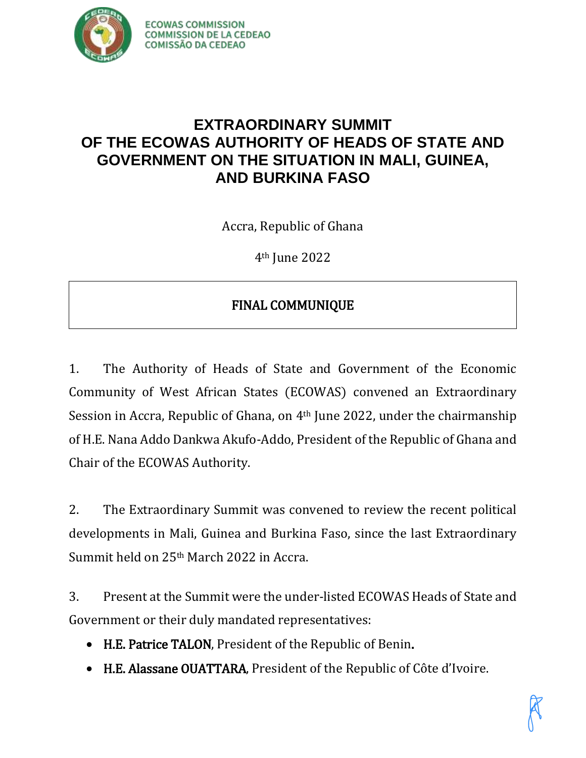

## **EXTRAORDINARY SUMMIT OF THE ECOWAS AUTHORITY OF HEADS OF STATE AND GOVERNMENT ON THE SITUATION IN MALI, GUINEA, AND BURKINA FASO**

Accra, Republic of Ghana

4th June 2022

## FINAL COMMUNIQUE

1. The Authority of Heads of State and Government of the Economic Community of West African States (ECOWAS) convened an Extraordinary Session in Accra, Republic of Ghana, on  $4<sup>th</sup>$  June 2022, under the chairmanship of H.E. Nana Addo Dankwa Akufo-Addo, President of the Republic of Ghana and Chair of the ECOWAS Authority.

2. The Extraordinary Summit was convened to review the recent political developments in Mali, Guinea and Burkina Faso, since the last Extraordinary Summit held on 25th March 2022 in Accra.

3. Present at the Summit were the under-listed ECOWAS Heads of State and Government or their duly mandated representatives:

- H.E. Patrice TALON, President of the Republic of Benin.
- H.E. Alassane OUATTARA, President of the Republic of Côte d'Ivoire.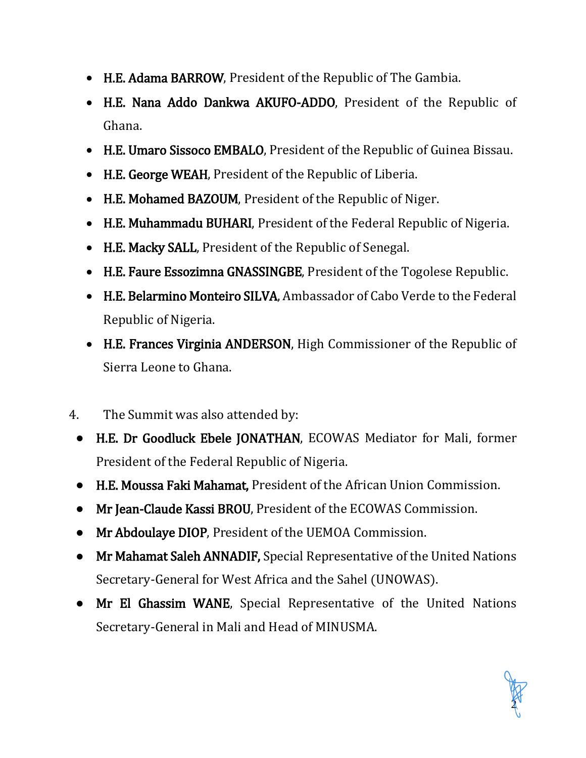- H.E. Adama BARROW, President of the Republic of The Gambia.
- H.E. Nana Addo Dankwa AKUFO-ADDO, President of the Republic of Ghana.
- H.E. Umaro Sissoco EMBALO, President of the Republic of Guinea Bissau.
- H.E. George WEAH, President of the Republic of Liberia.
- H.E. Mohamed BAZOUM, President of the Republic of Niger.
- H.E. Muhammadu BUHARI, President of the Federal Republic of Nigeria.
- H.E. Macky SALL, President of the Republic of Senegal.
- H.E. Faure Essozimna GNASSINGBE, President of the Togolese Republic.
- H.E. Belarmino Monteiro SILVA, Ambassador of Cabo Verde to the Federal Republic of Nigeria.
- H.E. Frances Virginia ANDERSON, High Commissioner of the Republic of Sierra Leone to Ghana.
- 4. The Summit was also attended by:
	- H.E. Dr Goodluck Ebele JONATHAN, ECOWAS Mediator for Mali, former President of the Federal Republic of Nigeria.
	- H.E. Moussa Faki Mahamat, President of the African Union Commission.
	- Mr Jean-Claude Kassi BROU, President of the ECOWAS Commission.
	- Mr Abdoulaye DIOP, President of the UEMOA Commission.
	- Mr Mahamat Saleh ANNADIF, Special Representative of the United Nations Secretary-General for West Africa and the Sahel (UNOWAS).
	- Mr El Ghassim WANE, Special Representative of the United Nations Secretary-General in Mali and Head of MINUSMA.

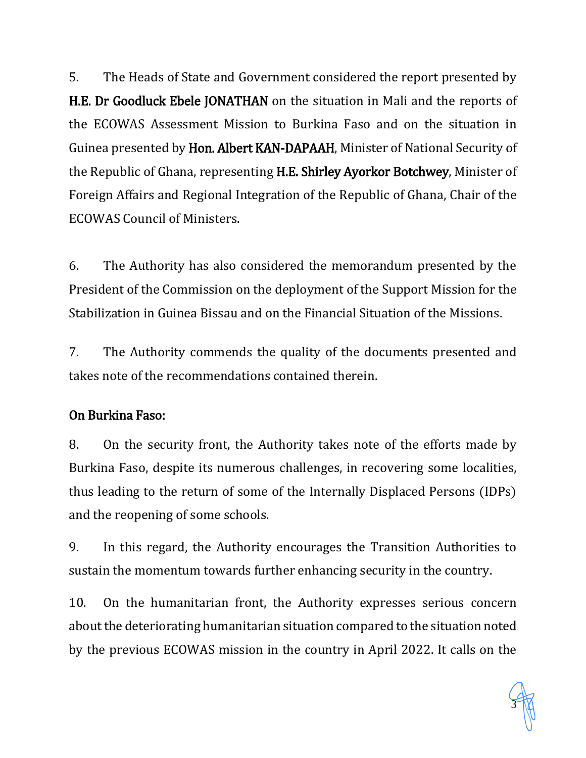5. The Heads of State and Government considered the report presented by H.E. Dr Goodluck Ebele JONATHAN on the situation in Mali and the reports of the ECOWAS Assessment Mission to Burkina Faso and on the situation in Guinea presented by Hon. Albert KAN-DAPAAH, Minister of National Security of the Republic of Ghana, representing H.E. Shirley Ayorkor Botchwey, Minister of Foreign Affairs and Regional Integration of the Republic of Ghana, Chair of the ECOWAS Council of Ministers.

6. The Authority has also considered the memorandum presented by the President of the Commission on the deployment of the Support Mission for the Stabilization in Guinea Bissau and on the Financial Situation of the Missions.

7. The Authority commends the quality of the documents presented and takes note of the recommendations contained therein.

### On Burkina Faso:

8. On the security front, the Authority takes note of the efforts made by Burkina Faso, despite its numerous challenges, in recovering some localities, thus leading to the return of some of the Internally Displaced Persons (IDPs) and the reopening of some schools.

9. In this regard, the Authority encourages the Transition Authorities to sustain the momentum towards further enhancing security in the country.

10. On the humanitarian front, the Authority expresses serious concern about the deteriorating humanitarian situation compared to the situation noted by the previous ECOWAS mission in the country in April 2022. It calls on the

3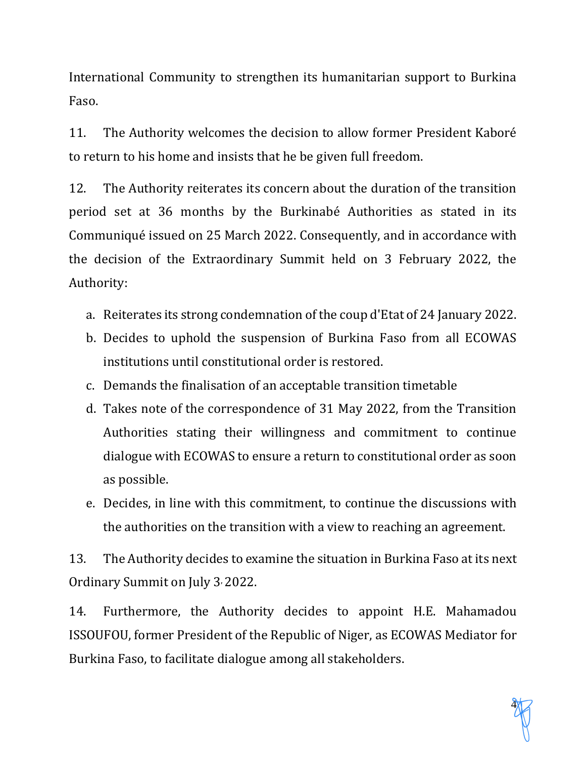International Community to strengthen its humanitarian support to Burkina Faso.

11. The Authority welcomes the decision to allow former President Kaboré to return to his home and insists that he be given full freedom.

12. The Authority reiterates its concern about the duration of the transition period set at 36 months by the Burkinabé Authorities as stated in its Communiqué issued on 25 March 2022. Consequently, and in accordance with the decision of the Extraordinary Summit held on 3 February 2022, the Authority:

- a. Reiterates its strong condemnation of the coup d'Etat of 24 January 2022.
- b. Decides to uphold the suspension of Burkina Faso from all ECOWAS institutions until constitutional order is restored.
- c. Demands the finalisation of an acceptable transition timetable
- d. Takes note of the correspondence of 31 May 2022, from the Transition Authorities stating their willingness and commitment to continue dialogue with ECOWAS to ensure a return to constitutional order as soon as possible.
- e. Decides, in line with this commitment, to continue the discussions with the authorities on the transition with a view to reaching an agreement.

13. The Authority decides to examine the situation in Burkina Faso at its next Ordinary Summit on July 3, 2022.

14. Furthermore, the Authority decides to appoint H.E. Mahamadou ISSOUFOU, former President of the Republic of Niger, as ECOWAS Mediator for Burkina Faso, to facilitate dialogue among all stakeholders.

4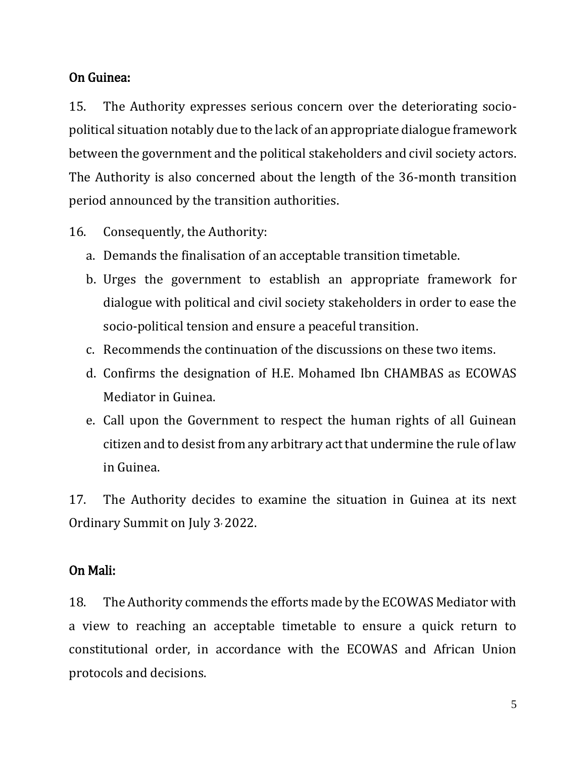#### On Guinea:

15. The Authority expresses serious concern over the deteriorating sociopolitical situation notably due to the lack of an appropriate dialogue framework between the government and the political stakeholders and civil society actors. The Authority is also concerned about the length of the 36-month transition period announced by the transition authorities.

- 16. Consequently, the Authority:
	- a. Demands the finalisation of an acceptable transition timetable.
	- b. Urges the government to establish an appropriate framework for dialogue with political and civil society stakeholders in order to ease the socio-political tension and ensure a peaceful transition.
	- c. Recommends the continuation of the discussions on these two items.
	- d. Confirms the designation of H.E. Mohamed Ibn CHAMBAS as ECOWAS Mediator in Guinea.
	- e. Call upon the Government to respect the human rights of all Guinean citizen and to desist from any arbitrary act that undermine the rule of law in Guinea.

17. The Authority decides to examine the situation in Guinea at its next Ordinary Summit on July 3, 2022.

#### On Mali:

18. The Authority commends the efforts made by the ECOWAS Mediator with a view to reaching an acceptable timetable to ensure a quick return to constitutional order, in accordance with the ECOWAS and African Union protocols and decisions.